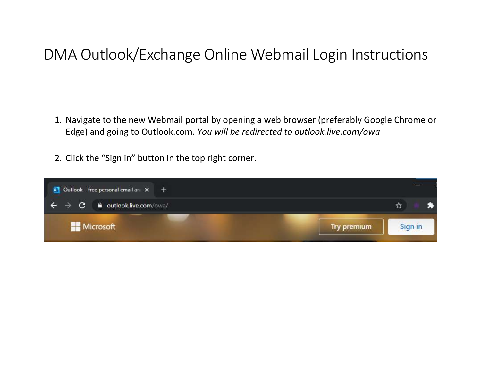## DMA Outlook/Exchange Online Webmail Login Instructions

- 1. Navigate to the new Webmail portal by opening a web browser (preferably Google Chrome or Edge) and going to Outlook.com. *You will be redirected to outlook.live.com/owa*
- 2. Click the "Sign in" button in the top right corner.

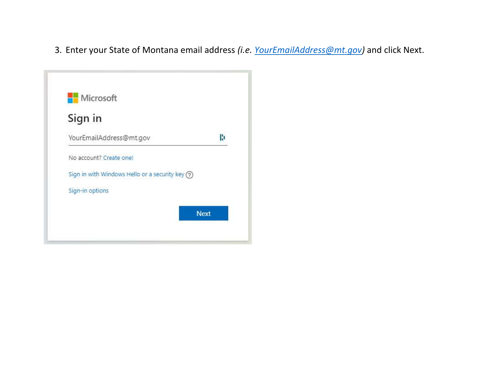3. Enter your State of Montana email address *(i.e. [YourEmailAddress@mt.gov\)](mailto:YourEmailAddress@mt.gov)* and click Next.

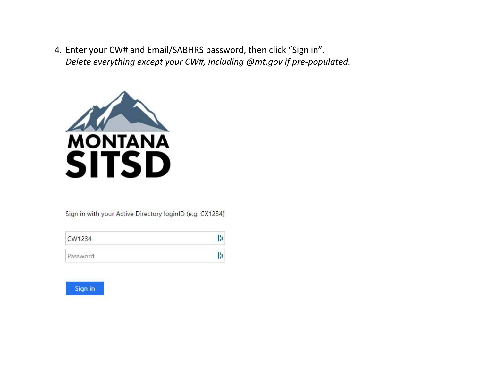4. Enter your CW# and Email/SABHRS password, then click "Sign in". *Delete everything except your CW#, including @mt.gov if pre-populated.*



Sign in with your Active Directory loginID (e.g. CX1234)

| CW1234   |  |
|----------|--|
| Password |  |

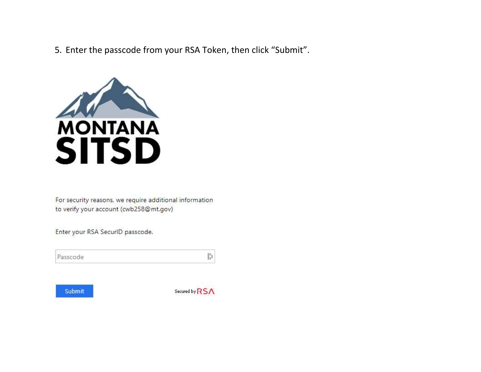5. Enter the passcode from your RSA Token, then click "Submit".



For security reasons, we require additional information to verify your account (cwb258@mt.gov)

Enter your RSA SecurID passcode.

Passcode



Secured by RSA

H,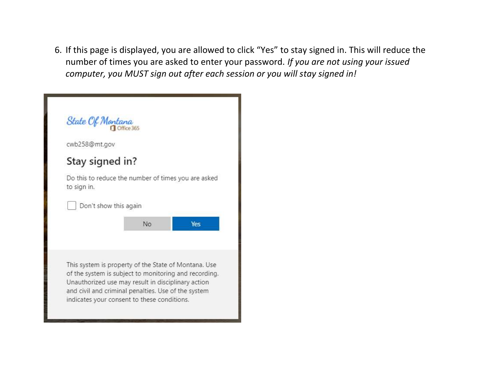6. If this page is displayed, you are allowed to click "Yes" to stay signed in. This will reduce the number of times you are asked to enter your password. *If you are not using your issued computer, you MUST sign out after each session or you will stay signed in!*

| State Of Montana                                                   |    |            |
|--------------------------------------------------------------------|----|------------|
| cwb258@mt.gov                                                      |    |            |
| Stay signed in?                                                    |    |            |
| Do this to reduce the number of times you are asked<br>to sign in. |    |            |
| Don't show this again                                              |    |            |
|                                                                    | No | <b>Yes</b> |
|                                                                    |    |            |
|                                                                    |    |            |
| This system is property of the State of Montana. Use               |    |            |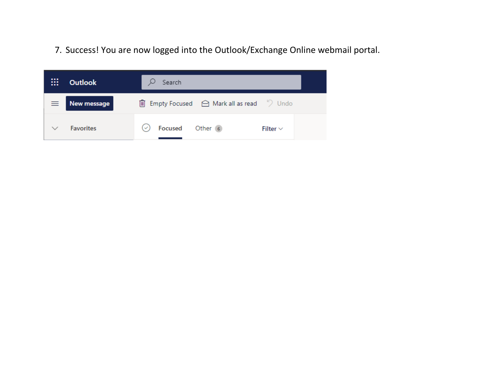7. Success! You are now logged into the Outlook/Exchange Online webmail portal.

| <br>$\cdots$<br> | <b>Outlook</b>       | Search                                                         |  |
|------------------|----------------------|----------------------------------------------------------------|--|
|                  | $\equiv$ New message | 圃 Empty Focused △ Mark all as read > Undo                      |  |
|                  | <b>Favorites</b>     | Focused<br>Other <sub>6</sub><br>$\checkmark$<br>Filter $\vee$ |  |